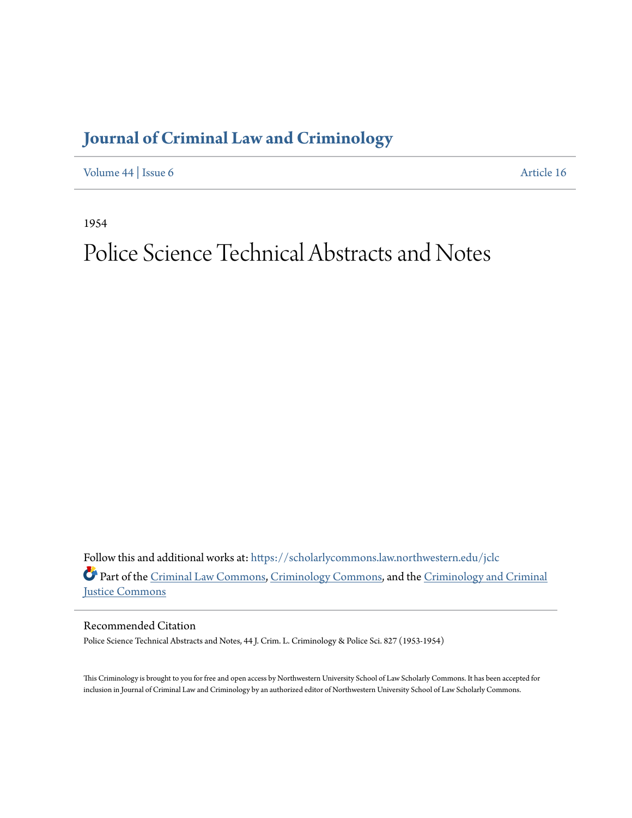## **[Journal of Criminal Law and Criminology](https://scholarlycommons.law.northwestern.edu/jclc?utm_source=scholarlycommons.law.northwestern.edu%2Fjclc%2Fvol44%2Fiss6%2F16&utm_medium=PDF&utm_campaign=PDFCoverPages)**

[Volume 44](https://scholarlycommons.law.northwestern.edu/jclc/vol44?utm_source=scholarlycommons.law.northwestern.edu%2Fjclc%2Fvol44%2Fiss6%2F16&utm_medium=PDF&utm_campaign=PDFCoverPages) | [Issue 6](https://scholarlycommons.law.northwestern.edu/jclc/vol44/iss6?utm_source=scholarlycommons.law.northwestern.edu%2Fjclc%2Fvol44%2Fiss6%2F16&utm_medium=PDF&utm_campaign=PDFCoverPages) [Article 16](https://scholarlycommons.law.northwestern.edu/jclc/vol44/iss6/16?utm_source=scholarlycommons.law.northwestern.edu%2Fjclc%2Fvol44%2Fiss6%2F16&utm_medium=PDF&utm_campaign=PDFCoverPages)

1954

## Police Science Technical Abstracts and Notes

Follow this and additional works at: [https://scholarlycommons.law.northwestern.edu/jclc](https://scholarlycommons.law.northwestern.edu/jclc?utm_source=scholarlycommons.law.northwestern.edu%2Fjclc%2Fvol44%2Fiss6%2F16&utm_medium=PDF&utm_campaign=PDFCoverPages) Part of the [Criminal Law Commons](http://network.bepress.com/hgg/discipline/912?utm_source=scholarlycommons.law.northwestern.edu%2Fjclc%2Fvol44%2Fiss6%2F16&utm_medium=PDF&utm_campaign=PDFCoverPages), [Criminology Commons](http://network.bepress.com/hgg/discipline/417?utm_source=scholarlycommons.law.northwestern.edu%2Fjclc%2Fvol44%2Fiss6%2F16&utm_medium=PDF&utm_campaign=PDFCoverPages), and the [Criminology and Criminal](http://network.bepress.com/hgg/discipline/367?utm_source=scholarlycommons.law.northwestern.edu%2Fjclc%2Fvol44%2Fiss6%2F16&utm_medium=PDF&utm_campaign=PDFCoverPages) [Justice Commons](http://network.bepress.com/hgg/discipline/367?utm_source=scholarlycommons.law.northwestern.edu%2Fjclc%2Fvol44%2Fiss6%2F16&utm_medium=PDF&utm_campaign=PDFCoverPages)

Recommended Citation

Police Science Technical Abstracts and Notes, 44 J. Crim. L. Criminology & Police Sci. 827 (1953-1954)

This Criminology is brought to you for free and open access by Northwestern University School of Law Scholarly Commons. It has been accepted for inclusion in Journal of Criminal Law and Criminology by an authorized editor of Northwestern University School of Law Scholarly Commons.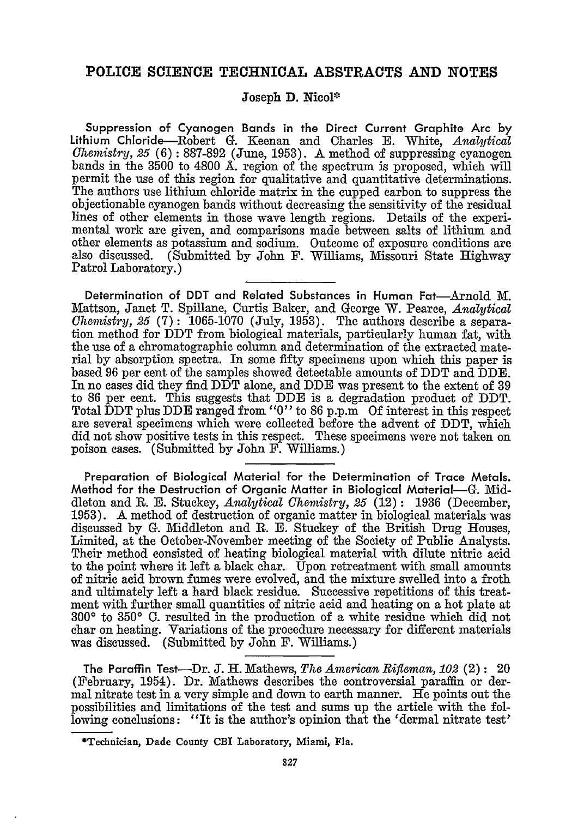## **POLICE SCIENCE TECHNICAL ABSTRACTS AND NOTES**

## **Joseph D. Nicol\***

Suppression of Cyanogen Bands in the Direct Current Graphite Arc **by** Lithium Chloride-Robert **G.** Keenan and Charles **E.** White, *Analytical Chemistry, 25* (6) **:** 887-892 (June, 1953). A method of suppressing cyanogen bands in the 3500 to 4800 **A.** region of the spectrum is proposed, which will permit the use of this region for qualitative and quantitative determinations. The authors use lithium chloride matrix in the cupped carbon to suppress the objectionable cyanogen bands without decreasing the sensitivity of the residual lines of other elements in those wave length regions. Details of the experimental work are given, and comparisons made between salts of lithium and other elements as potassium and sodium. Outcome of exposure conditions are also discussed. (Submitted by John F. Williams, Missouri State Highway Patrol Laboratory.)

Determination of DDT and Related Substances in Human Fat-Arnold M. Mattson, Janet T. Spillane, Curtis Baker, and George W. Pearce, *Analytical Chemistry, 25* (7): <sup>1</sup>065-1070 (July, 1953). The authors describe a separation method for DDT from biological materials, particularly human fat, with the use of a chromatographic column and determination of the extracted material by absorption spectra. In some fifty specimens upon which this paper is based 96 per cent of the samples showed detectable amounts of DDT and DDE. In no cases did they find DDT alone, and **DDE** was present to the extent of 39 to 86 per cent. This suggests that DDE is a degradation product of DDT. Total DDT plus DDE ranged from **"0"** to 86 p.p.m Of interest in this respect are several specimens which were collected before the advent of DDT, which did not show positive tests in this respect. These specimens were not taken on poison cases. (Submitted by John F. Williams.)

Preparation of Biological Material for the Determination of Trace Metals. Method for the Destruction of Organic Matter in Biological Material-G. Middleton and **R. E.** Stuckey, *Analytical Chemistry, 25* (12) **:** 1936 (December, 1953). A method of destruction of organic matter in biological materials was discussed by G. Middleton and **R. E.** Stuckey of the British Drug Houses, Limited, at the October-November meeting of the Society of Public Analysts. Their method consisted of heating biological material with dilute nitric acid to the point where it left a black char. Upon retreatment with small amounts of nitric acid brown fumes were evolved, and the mixture swelled into a froth and ultimately left a hard black residue. Successive repetitions of this treatment with further small quantities of nitric acid and heating on a hot plate at **3000** to **350' C.** resulted in the production of a white residue which did not char on heating. Variations of the procedure necessary for different materials was discussed. (Submitted by John F. Williams.)

The Paraffin Test-Dr. J. H. Mathews, *The American Rifleman, 102* (2): 20 (February, 1954). Dr. Mathews describes the controversial paraffin or dermal nitrate test in a very simple and down to earth manner. He points out the possibilities and limitations of the test and sums up the article with the following conclusions: "It is the author's opinion that the 'dermal nitrate test'

**<sup>\*</sup>Technician, Dade County CBI Laboratory, Miami, Fla.**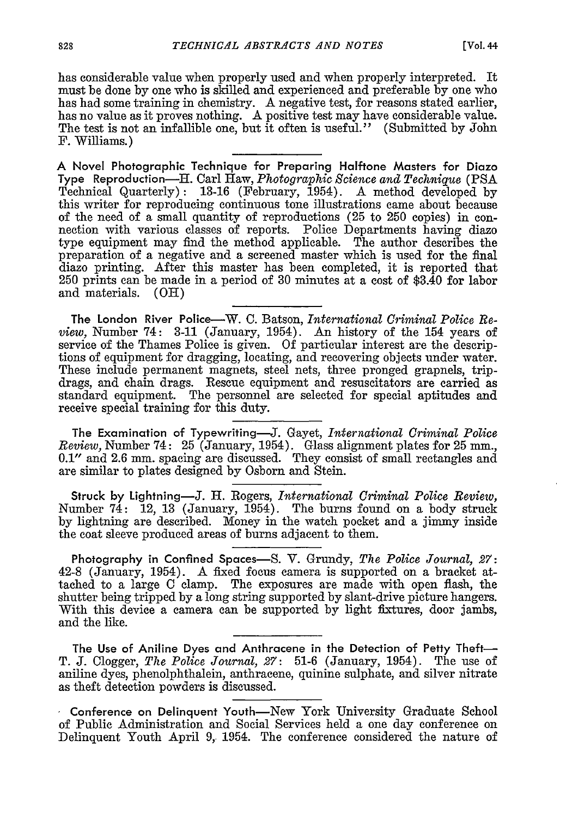has considerable value when properly used and when properly interpreted. It must be done by one who is skilled and experienced and preferable by one who has had some training in chemistry. A negative test, for reasons stated earlier, has no value as it proves nothing. A positive test may have considerable value. The test is not an infallible one, but it often is useful." (Submitted by John F. Williams.)

**A Novel Photographic Technique for Preparing Halftone Masters for Diazo** Type Reproduction-H. Carl Haw, *Photographic Science and Technique* (PSA Technical Quarterly): 13-16 (February, 1954). A method developed by this writer for reproducing continuous tone illustrations came about because of the need of a small quantity of reproductions (25 to 250 copies) in connection with various classes of reports. Police Departments having diazo type equipment may find the method applicable. The author describes the preparation of a negative and a screened master which is used for the final diazo printing. After this master has been completed, it is reported that 250 prints can be made in a period of 30 minutes at a cost of \$3.40 for labor and materials. (OH)

The London River Police-W. C. Batson, *International Criminal Police Review,* Number 74: 3-11 (January, 1954). An history of the 154 years of service of the Thames Police is given. Of particular interest are the descriptions of equipment for dragging, locating, and recovering objects under water. These include permanent magnets, steel nets, three pronged grapnels, tripdrags, and chain drags. Rescue equipment and resuscitators are carried as standard equipment. The personnel are selected for special aptitudes and receive special training for this duty.

The Examination of Typewriting-J. Gayet, *International Criminal Police Review, Number 74:* 25 (January, 1954). Glass alignment plates for 25 mm., 0.1" and 2.6 mm. spacing are discussed. They consist of small rectangles and are similar to plates designed by Osborn and Stein.

Struck by Lightning-J. H. Rogers, *International Criminal Police Review,* Number 74: 12, 13 (January, 1954). The burns found on a body struck by lightning are described. Money in the watch pocket and a jimmy inside the coat sleeve produced areas of burns adjacent to them.

Photography in Confined Spaces-S. V. Grundy, *The Police Journal, 27:* 42-8 (January, 1954). A fixed focus camera is supported on a bracket attached to a large C clamp. The exposures are made with open flash, the shutter being tripped by a long string supported by slant-drive picture hangers. With this device a camera can be supported by light fixtures, door jambs, and the like.

The Use of Aniline Dyes and Anthracene in the Detection of Petty Theft-T. J. Clogger, *The Police Journal, 27:* 51-6 (January, 1954). The use of aniline dyes, phenolphthalein, anthracene, quinine sulphate, and silver nitrate as theft detection powders is discussed.

Conference on Delinquent Youth-New York University Graduate School of Public Administration and Social Services held a one day conference on Delinquent Youth April 9, 1954. The conference considered the nature of